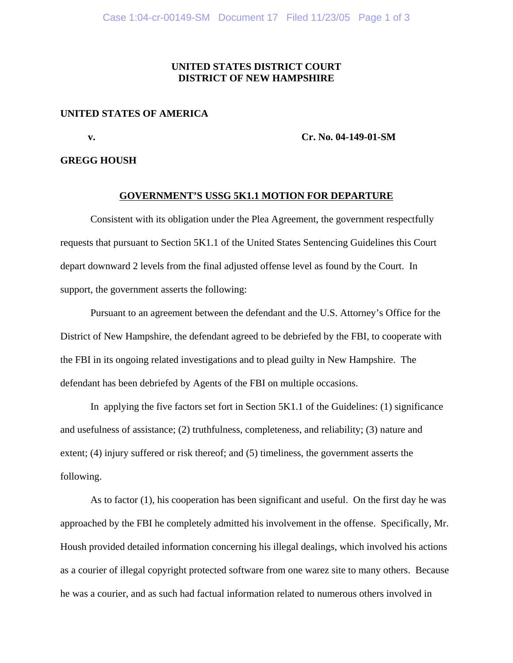### **UNITED STATES DISTRICT COURT DISTRICT OF NEW HAMPSHIRE**

#### **UNITED STATES OF AMERICA**

**v. Cr.** No. 04-149-01-SM

#### **GREGG HOUSH**

#### **GOVERNMENT'S USSG 5K1.1 MOTION FOR DEPARTURE**

Consistent with its obligation under the Plea Agreement, the government respectfully requests that pursuant to Section 5K1.1 of the United States Sentencing Guidelines this Court depart downward 2 levels from the final adjusted offense level as found by the Court. In support, the government asserts the following:

Pursuant to an agreement between the defendant and the U.S. Attorney's Office for the District of New Hampshire, the defendant agreed to be debriefed by the FBI, to cooperate with the FBI in its ongoing related investigations and to plead guilty in New Hampshire. The defendant has been debriefed by Agents of the FBI on multiple occasions.

In applying the five factors set fort in Section 5K1.1 of the Guidelines: (1) significance and usefulness of assistance; (2) truthfulness, completeness, and reliability; (3) nature and extent; (4) injury suffered or risk thereof; and (5) timeliness, the government asserts the following.

As to factor (1), his cooperation has been significant and useful. On the first day he was approached by the FBI he completely admitted his involvement in the offense. Specifically, Mr. Housh provided detailed information concerning his illegal dealings, which involved his actions as a courier of illegal copyright protected software from one warez site to many others. Because he was a courier, and as such had factual information related to numerous others involved in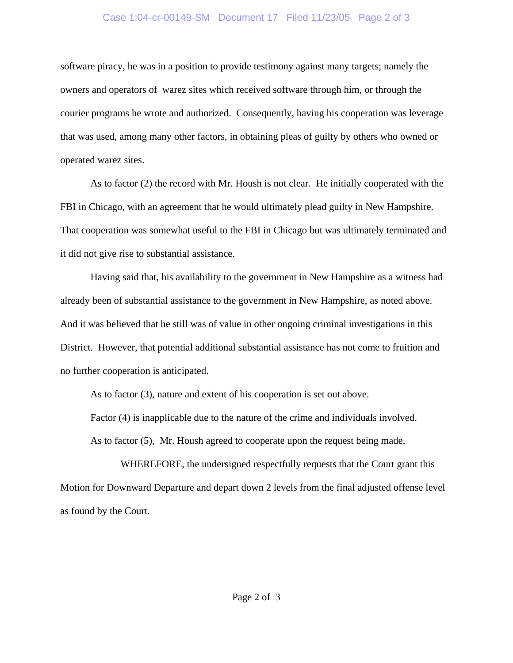### Case 1:04-cr-00149-SM Document 17 Filed 11/23/05 Page 2 of 3

software piracy, he was in a position to provide testimony against many targets; namely the owners and operators of warez sites which received software through him, or through the courier programs he wrote and authorized. Consequently, having his cooperation was leverage that was used, among many other factors, in obtaining pleas of guilty by others who owned or operated warez sites.

As to factor (2) the record with Mr. Housh is not clear. He initially cooperated with the FBI in Chicago, with an agreement that he would ultimately plead guilty in New Hampshire. That cooperation was somewhat useful to the FBI in Chicago but was ultimately terminated and it did not give rise to substantial assistance.

Having said that, his availability to the government in New Hampshire as a witness had already been of substantial assistance to the government in New Hampshire, as noted above. And it was believed that he still was of value in other ongoing criminal investigations in this District. However, that potential additional substantial assistance has not come to fruition and no further cooperation is anticipated.

As to factor (3), nature and extent of his cooperation is set out above.

Factor (4) is inapplicable due to the nature of the crime and individuals involved.

As to factor (5), Mr. Housh agreed to cooperate upon the request being made.

WHEREFORE, the undersigned respectfully requests that the Court grant this Motion for Downward Departure and depart down 2 levels from the final adjusted offense level as found by the Court.